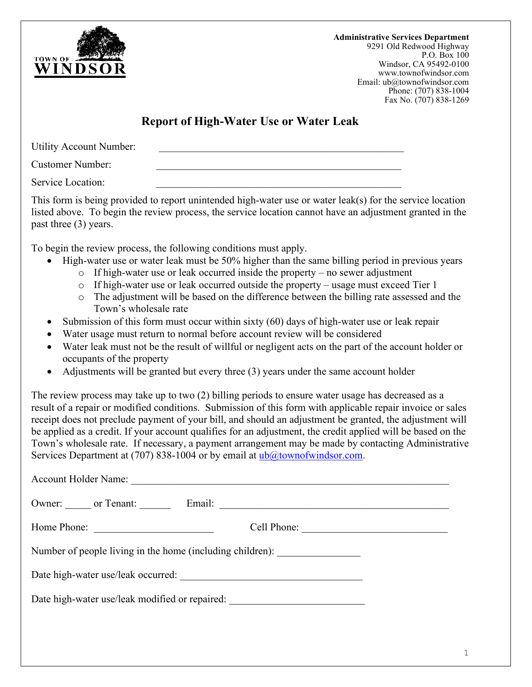

**Administrative Services Department** 9291 Old Redwood Highway P.O. Box 100 Windsor, CA 95492-0100 www.townofwindsor.com Email: ub@townofwindsor.com Phone: (707) 838-1004 Fax No. (707) 838-1269

## **Report of High-Water Use or Water Leak**

Utility Account Number:

Customer Number:

Service Location:

This form is being provided to report unintended high-water use or water leak(s) for the service location listed above. To begin the review process, the service location cannot have an adjustment granted in the past three (3) years.

To begin the review process, the following conditions must apply.

- High-water use or water leak must be 50% higher than the same billing period in previous years
	- $\circ$  If high-water use or leak occurred inside the property no sewer adjustment
	- o If high-water use or leak occurred outside the property usage must exceed Tier 1
	- o The adjustment will be based on the difference between the billing rate assessed and the Town's wholesale rate
- Submission of this form must occur within sixty (60) days of high-water use or leak repair
- Water usage must return to normal before account review will be considered
- Water leak must not be the result of willful or negligent acts on the part of the account holder or occupants of the property
- Adjustments will be granted but every three (3) years under the same account holder

The review process may take up to two (2) billing periods to ensure water usage has decreased as a result of a repair or modified conditions. Submission of this form with applicable repair invoice or sales receipt does not preclude payment of your bill, and should an adjustment be granted, the adjustment will be applied as a credit. If your account qualifies for an adjustment, the credit applied will be based on the Town's wholesale rate. If necessary, a payment arrangement may be made by contacting Administrative Services Department at (707) 838-1004 or by email at [ub@townofwindsor.com.](mailto:ub@townofwindsor.com)

| <b>Account Holder Name:</b>                               |             |
|-----------------------------------------------------------|-------------|
| Owner: or Tenant: Email:                                  |             |
| Home Phone:                                               | Cell Phone: |
| Number of people living in the home (including children): |             |
|                                                           |             |
| Date high-water use/leak modified or repaired:            |             |